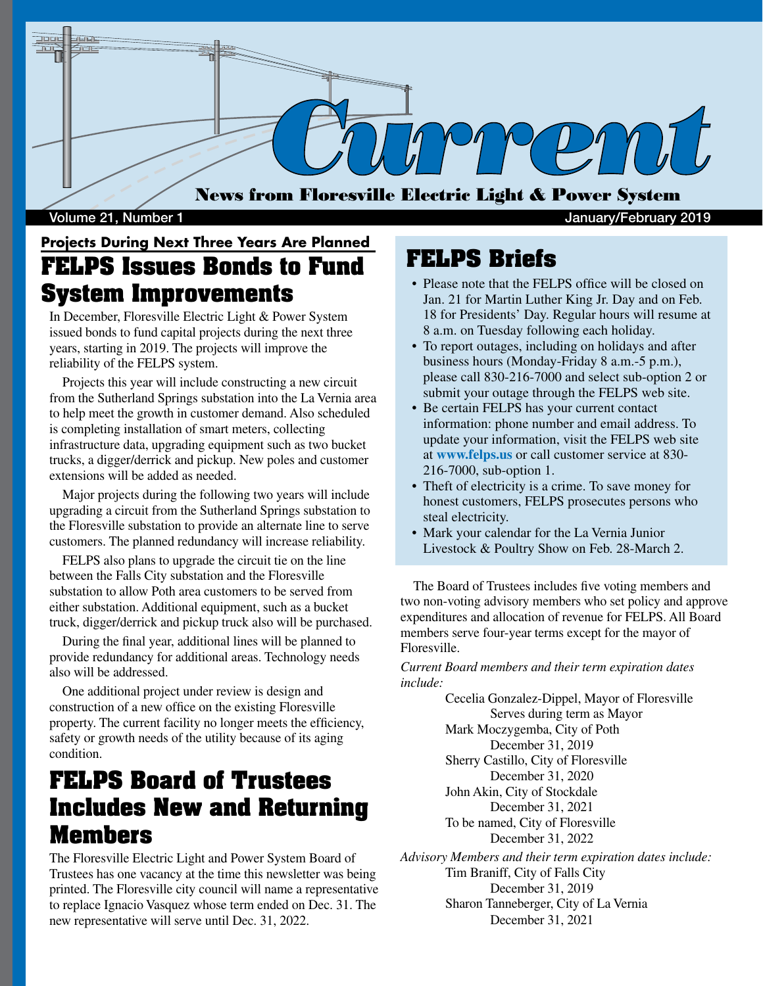

#### Volume 21, Number 1 January/February 2019

### **Projects During Next Three Years Are Planned FELPS Issues Bonds to Fund System Improvements**

In December, Floresville Electric Light & Power System issued bonds to fund capital projects during the next three years, starting in 2019. The projects will improve the reliability of the FELPS system.

 Projects this year will include constructing a new circuit from the Sutherland Springs substation into the La Vernia area to help meet the growth in customer demand. Also scheduled is completing installation of smart meters, collecting infrastructure data, upgrading equipment such as two bucket trucks, a digger/derrick and pickup. New poles and customer extensions will be added as needed.

 Major projects during the following two years will include upgrading a circuit from the Sutherland Springs substation to the Floresville substation to provide an alternate line to serve customers. The planned redundancy will increase reliability.

 FELPS also plans to upgrade the circuit tie on the line between the Falls City substation and the Floresville substation to allow Poth area customers to be served from either substation. Additional equipment, such as a bucket truck, digger/derrick and pickup truck also will be purchased.

 During the final year, additional lines will be planned to provide redundancy for additional areas. Technology needs also will be addressed.

 One additional project under review is design and construction of a new office on the existing Floresville property. The current facility no longer meets the efficiency, safety or growth needs of the utility because of its aging condition.

## **FELPS Board of Trustees Includes New and Returning Members**

The Floresville Electric Light and Power System Board of Trustees has one vacancy at the time this newsletter was being printed. The Floresville city council will name a representative to replace Ignacio Vasquez whose term ended on Dec. 31. The new representative will serve until Dec. 31, 2022.

#### **FELPS Briefs**

- Please note that the FELPS office will be closed on Jan. 21 for Martin Luther King Jr. Day and on Feb. 18 for Presidents' Day. Regular hours will resume at 8 a.m. on Tuesday following each holiday.
- To report outages, including on holidays and after business hours (Monday-Friday 8 a.m.-5 p.m.), please call 830-216-7000 and select sub-option 2 or submit your outage through the FELPS web site.
- Be certain FELPS has your current contact information: phone number and email address. To update your information, visit the FELPS web site at **www.felps.us** or call customer service at 830- 216-7000, sub-option 1.
- Theft of electricity is a crime. To save money for honest customers, FELPS prosecutes persons who steal electricity.
- Mark your calendar for the La Vernia Junior Livestock & Poultry Show on Feb. 28-March 2.

 The Board of Trustees includes five voting members and two non-voting advisory members who set policy and approve expenditures and allocation of revenue for FELPS. All Board members serve four-year terms except for the mayor of Floresville.

*Current Board members and their term expiration dates include:*

> Cecelia Gonzalez-Dippel, Mayor of Floresville Serves during term as Mayor Mark Moczygemba, City of Poth December 31, 2019 Sherry Castillo, City of Floresville December 31, 2020 John Akin, City of Stockdale December 31, 2021 To be named, City of Floresville December 31, 2022

*Advisory Members and their term expiration dates include:* Tim Braniff, City of Falls City December 31, 2019 Sharon Tanneberger, City of La Vernia December 31, 2021